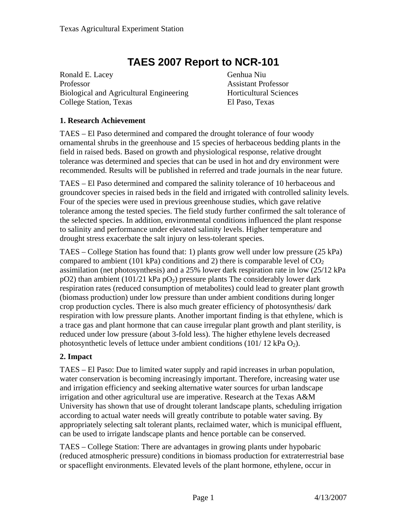# **TAES 2007 Report to NCR-101**

Ronald E. Lacey Genhua Niu Professor Assistant Professor Biological and Agricultural Engineering Horticultural Sciences College Station, Texas El Paso, Texas

## **1. Research Achievement**

TAES – El Paso determined and compared the drought tolerance of four woody ornamental shrubs in the greenhouse and 15 species of herbaceous bedding plants in the field in raised beds. Based on growth and physiological response, relative drought tolerance was determined and species that can be used in hot and dry environment were recommended. Results will be published in referred and trade journals in the near future.

TAES – El Paso determined and compared the salinity tolerance of 10 herbaceous and groundcover species in raised beds in the field and irrigated with controlled salinity levels. Four of the species were used in previous greenhouse studies, which gave relative tolerance among the tested species. The field study further confirmed the salt tolerance of the selected species. In addition, environmental conditions influenced the plant response to salinity and performance under elevated salinity levels. Higher temperature and drought stress exacerbate the salt injury on less-tolerant species.

TAES – College Station has found that: 1) plants grow well under low pressure (25 kPa) compared to ambient (101 kPa) conditions and 2) there is comparable level of  $CO<sub>2</sub>$ assimilation (net photosynthesis) and a 25% lower dark respiration rate in low (25/12 kPa  $pO2$ ) than ambient (101/21 kPa  $pO<sub>2</sub>$ ) pressure plants The considerably lower dark respiration rates (reduced consumption of metabolites) could lead to greater plant growth (biomass production) under low pressure than under ambient conditions during longer crop production cycles. There is also much greater efficiency of photosynthesis/ dark respiration with low pressure plants. Another important finding is that ethylene, which is a trace gas and plant hormone that can cause irregular plant growth and plant sterility, is reduced under low pressure (about 3-fold less). The higher ethylene levels decreased photosynthetic levels of lettuce under ambient conditions (101/ 12 kPa  $O_2$ ).

# **2. Impact**

TAES – El Paso: Due to limited water supply and rapid increases in urban population, water conservation is becoming increasingly important. Therefore, increasing water use and irrigation efficiency and seeking alternative water sources for urban landscape irrigation and other agricultural use are imperative. Research at the Texas A&M University has shown that use of drought tolerant landscape plants, scheduling irrigation according to actual water needs will greatly contribute to potable water saving. By appropriately selecting salt tolerant plants, reclaimed water, which is municipal effluent, can be used to irrigate landscape plants and hence portable can be conserved.

TAES – College Station: There are advantages in growing plants under hypobaric (reduced atmospheric pressure) conditions in biomass production for extraterrestrial base or spaceflight environments. Elevated levels of the plant hormone, ethylene, occur in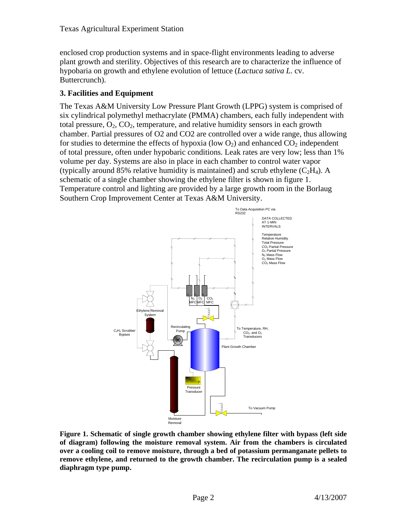enclosed crop production systems and in space-flight environments leading to adverse plant growth and sterility. Objectives of this research are to characterize the influence of hypobaria on growth and ethylene evolution of lettuce (*Lactuca sativa L*. cv. Buttercrunch).

# **3. Facilities and Equipment**

The Texas A&M University Low Pressure Plant Growth (LPPG) system is comprised of six cylindrical polymethyl methacrylate (PMMA) chambers, each fully independent with total pressure,  $O_2$ ,  $CO_2$ , temperature, and relative humidity sensors in each growth chamber. Partial pressures of O2 and CO2 are controlled over a wide range, thus allowing for studies to determine the effects of hypoxia (low  $O_2$ ) and enhanced  $CO_2$  independent of total pressure, often under hypobaric conditions. Leak rates are very low; less than 1% volume per day. Systems are also in place in each chamber to control water vapor (typically around 85% relative humidity is maintained) and scrub ethylene  $(C_2H_4)$ . A schematic of a single chamber showing the ethylene filter is shown in figure 1. Temperature control and lighting are provided by a large growth room in the Borlaug Southern Crop Improvement Center at Texas A&M University.



**Figure 1. Schematic of single growth chamber showing ethylene filter with bypass (left side of diagram) following the moisture removal system. Air from the chambers is circulated over a cooling coil to remove moisture, through a bed of potassium permanganate pellets to remove ethylene, and returned to the growth chamber. The recirculation pump is a sealed diaphragm type pump.**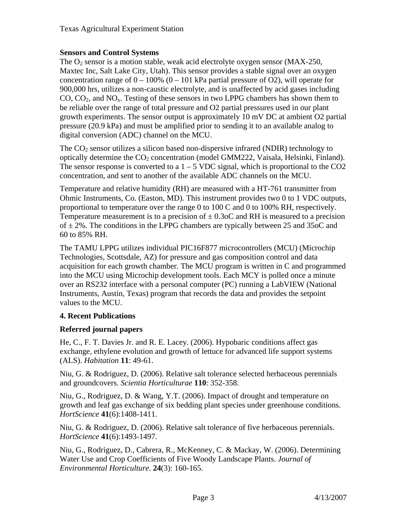## **Sensors and Control Systems**

The  $O_2$  sensor is a motion stable, weak acid electrolyte oxygen sensor (MAX-250, Maxtec Inc, Salt Lake City, Utah). This sensor provides a stable signal over an oxygen concentration range of  $0 - 100\%$  (0 – 101 kPa partial pressure of O2), will operate for 900,000 hrs, utilizes a non-caustic electrolyte, and is unaffected by acid gases including  $CO$ ,  $CO<sub>2</sub>$ , and  $NO<sub>x</sub>$ . Testing of these sensors in two LPPG chambers has shown them to be reliable over the range of total pressure and O2 partial pressures used in our plant growth experiments. The sensor output is approximately 10 mV DC at ambient O2 partial pressure (20.9 kPa) and must be amplified prior to sending it to an available analog to digital conversion (ADC) channel on the MCU.

The  $CO<sub>2</sub>$  sensor utilizes a silicon based non-dispersive infrared (NDIR) technology to optically determine the  $CO<sub>2</sub>$  concentration (model GMM222, Vaisala, Helsinki, Finland). The sensor response is converted to a  $1 - 5$  VDC signal, which is proportional to the CO2 concentration, and sent to another of the available ADC channels on the MCU.

Temperature and relative humidity (RH) are measured with a HT-761 transmitter from Ohmic Instruments, Co. (Easton, MD). This instrument provides two 0 to 1 VDC outputs, proportional to temperature over the range 0 to 100 C and 0 to 100% RH, respectively. Temperature measurement is to a precision of  $\pm$  0.3oC and RH is measured to a precision of  $\pm$  2%. The conditions in the LPPG chambers are typically between 25 and 35oC and 60 to 85% RH.

The TAMU LPPG utilizes individual PIC16F877 microcontrollers (MCU) (Microchip Technologies, Scottsdale, AZ) for pressure and gas composition control and data acquisition for each growth chamber. The MCU program is written in C and programmed into the MCU using Microchip development tools. Each MCY is polled once a minute over an RS232 interface with a personal computer (PC) running a LabVIEW (National Instruments, Austin, Texas) program that records the data and provides the setpoint values to the MCU.

### **4. Recent Publications**

# **Referred journal papers**

He, C., F. T. Davies Jr. and R. E. Lacey. (2006). Hypobaric conditions affect gas exchange, ethylene evolution and growth of lettuce for advanced life support systems (ALS). *Habitation* **11**: 49-61.

Niu, G. & Rodriguez, D. (2006). Relative salt tolerance selected herbaceous perennials and groundcovers. *Scientia Horticulturae* **110**: 352-358.

Niu, G., Rodriguez, D. & Wang, Y.T. (2006). Impact of drought and temperature on growth and leaf gas exchange of six bedding plant species under greenhouse conditions. *HortScience* **41**(6):1408-1411.

Niu, G. & Rodriguez, D. (2006). Relative salt tolerance of five herbaceous perennials. *HortScience* **41**(6):1493-1497.

Niu, G., Rodriguez, D., Cabrera, R., McKenney, C. & Mackay, W. (2006). Determining Water Use and Crop Coefficients of Five Woody Landscape Plants. *Journal of Environmental Horticulture*. **24**(3): 160-165.